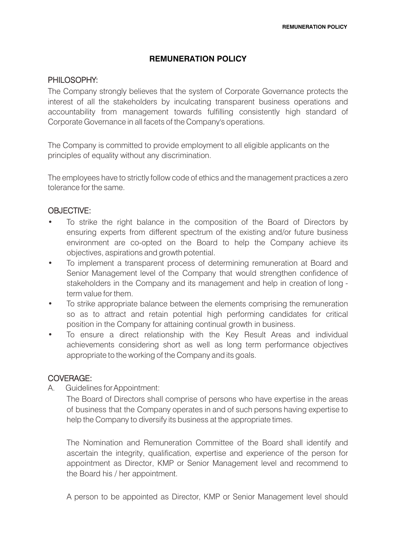# **REMUNERATION POLICY**

### PHILOSOPHY:

The Company strongly believes that the system of Corporate Governance protects the interest of all the stakeholders by inculcating transparent business operations and accountability from management towards fulfilling consistently high standard of Corporate Governance in all facets of the Company's operations.

The Company is committed to provide employment to all eligible applicants on the principles of equality without any discrimination.

The employees have to strictly follow code of ethics and the management practices a zero tolerance for the same.

# OBJECTIVE:

- To strike the right balance in the composition of the Board of Directors by ensuring experts from different spectrum of the existing and/or future business environment are co-opted on the Board to help the Company achieve its objectives, aspirations and growth potential.
- To implement a transparent process of determining remuneration at Board and Senior Management level of the Company that would strengthen confidence of stakeholders in the Company and its management and help in creation of long term value for them.
- To strike appropriate balance between the elements comprising the remuneration so as to attract and retain potential high performing candidates for critical position in the Company for attaining continual growth in business.
- To ensure a direct relationship with the Key Result Areas and individual achievements considering short as well as long term performance objectives appropriate to the working of the Company and its goals.

# COVERAGE:

A. Guidelines forAppointment:

The Board of Directors shall comprise of persons who have expertise in the areas of business that the Company operates in and of such persons having expertise to help the Company to diversify its business at the appropriate times.

The Nomination and Remuneration Committee of the Board shall identify and ascertain the integrity, qualification, expertise and experience of the person for appointment as Director, KMP or Senior Management level and recommend to the Board his / her appointment.

A person to be appointed as Director, KMP or Senior Management level should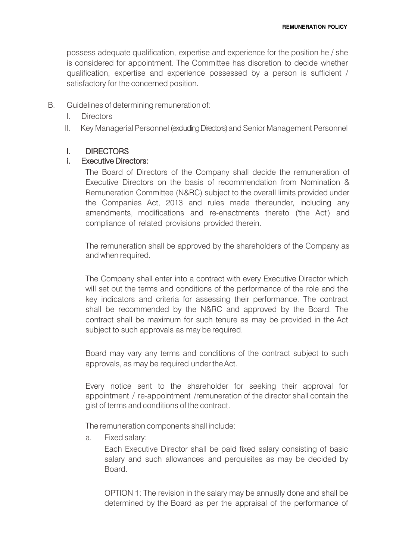possess adequate qualification, expertise and experience for the position he / she is considered for appointment. The Committee has discretion to decide whether qualification, expertise and experience possessed by a person is sufficient / satisfactory for the concerned position.

- B. Guidelines of determining remuneration of:
	- I. Directors
	- II. Key Managerial Personnel (excluding Directors) and Senior Management Personnel

#### I. DIRECTORS

#### i. Executive Directors:

The Board of Directors of the Company shall decide the remuneration of Executive Directors on the basis of recommendation from Nomination & Remuneration Committee (N&RC) subject to the overall limits provided under the Companies Act, 2013 and rules made thereunder, including any amendments, modifications and re-enactments thereto ('the Act') and compliance of related provisions provided therein.

The remuneration shall be approved by the shareholders of the Company as and when required.

The Company shall enter into a contract with every Executive Director which will set out the terms and conditions of the performance of the role and the key indicators and criteria for assessing their performance. The contract shall be recommended by the N&RC and approved by the Board. The contract shall be maximum for such tenure as may be provided in the Act subject to such approvals as may be required.

Board may vary any terms and conditions of the contract subject to such approvals, as may be required under theAct.

Every notice sent to the shareholder for seeking their approval for appointment / re-appointment /remuneration of the director shall contain the gist of terms and conditions of the contract.

The remuneration components shall include:

a. Fixed salary:

Each Executive Director shall be paid fixed salary consisting of basic salary and such allowances and perquisites as may be decided by Board.

OPTION 1: The revision in the salary may be annually done and shall be determined by the Board as per the appraisal of the performance of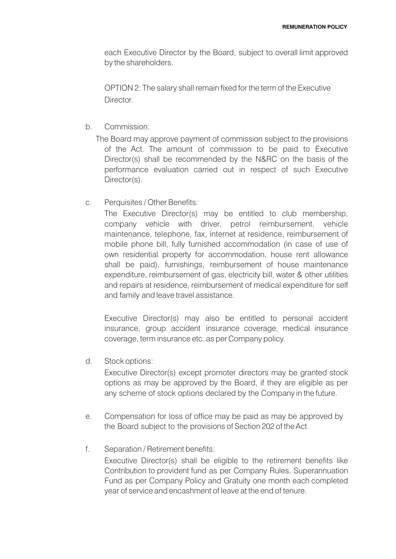each Executive Director by the Board, subject to overall limit approved by the shareholders.

OPTION 2: The salary shall remain fixed for the term of the Executive **Director** 

- b. Commission:
	- The Board may approve payment of commission subject to the provisions of the Act. The amount of commission to be paid to Executive Director(s) shall be recommended by the N&RC on the basis of the performance evaluation carried out in respect of such Executive Director(s).
- c. Perquisites / Other Benefits:

The Executive Director(s) may be entitled to club membership, company vehicle with driver, petrol reimbursement, vehicle maintenance, telephone, fax, internet at residence, reimbursement of mobile phone bill, fully furnished accommodation (in case of use of own residential property for accommodation, house rent allowance shall be paid), furnishings, reimbursement of house maintenance expenditure, reimbursement of gas, electricity bill, water & other utilities and repairs at residence, reimbursement of medical expenditure for self and family and leave travel assistance.

Executive Director(s) may also be entitled to personal accident insurance, group accident insurance coverage, medical insurance coverage, term insurance etc. as perCompany policy.

d. Stock options:

Executive Director(s) except promoter directors may be granted stock options as may be approved by the Board, if they are eligible as per any scheme of stock options declared by the Company in the future.

- e. Compensation for loss of office may be paid as may be approved by the Board subject to the provisions of Section 202 of theAct.
- f. Separation / Retirement benefits: Executive Director(s) shall be eligible to the retirement benefits like Contribution to provident fund as per Company Rules, Superannuation Fund as per Company Policy and Gratuity one month each completed year of service and encashment of leave at the end of tenure.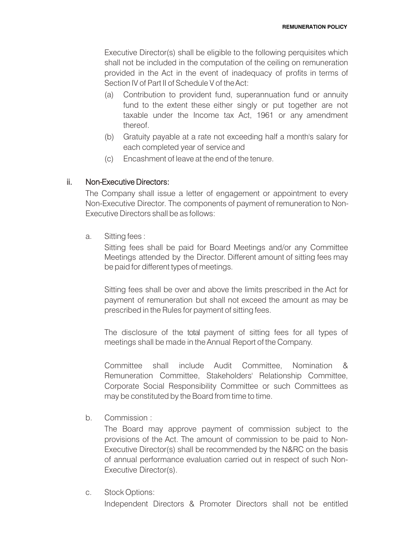Executive Director(s) shall be eligible to the following perquisites which shall not be included in the computation of the ceiling on remuneration provided in the Act in the event of inadequacy of profits in terms of Section IV of Part II of Schedule V of the Act:

- (a) Contribution to provident fund, superannuation fund or annuity fund to the extent these either singly or put together are not taxable under the Income tax Act, 1961 or any amendment thereof.
- (b) Gratuity payable at a rate not exceeding half a month's salary for each completed year of service and
- (c) Encashment of leave at the end of the tenure.

# ii. Non-Executive Directors:

The Company shall issue a letter of engagement or appointment to every Non-Executive Director. The components of payment of remuneration to Non-Executive Directors shall be as follows:

a. Sitting fees :

Sitting fees shall be paid for Board Meetings and/or any Committee Meetings attended by the Director. Different amount of sitting fees may be paid for different types of meetings.

Sitting fees shall be over and above the limits prescribed in the Act for payment of remuneration but shall not exceed the amount as may be prescribed in the Rules for payment of sitting fees.

The disclosure of the total payment of sitting fees for all types of meetings shall be made in the Annual Report of the Company.

Committee shall include Audit Committee, Nomination & Remuneration Committee, Stakeholders' Relationship Committee, Corporate Social Responsibility Committee or such Committees as may be constituted by the Board from time to time.

b. Commission :

The Board may approve payment of commission subject to the provisions of the Act. The amount of commission to be paid to Non-Executive Director(s) shall be recommended by the N&RC on the basis of annual performance evaluation carried out in respect of such Non-Executive Director(s).

c. Stock Options:

Independent Directors & Promoter Directors shall not be entitled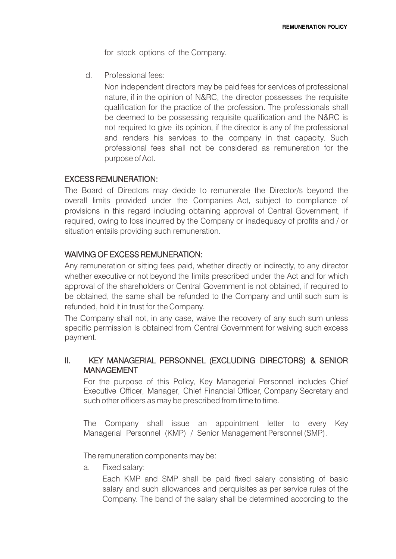for stock options of the Company.

d. Professional fees:

Non independent directors may be paid fees for services of professional nature, if in the opinion of N&RC, the director possesses the requisite qualification for the practice of the profession. The professionals shall be deemed to be possessing requisite qualification and the N&RC is not required to give its opinion, if the director is any of the professional and renders his services to the company in that capacity. Such professional fees shall not be considered as remuneration for the purpose of Act.

# EXCESS REMUNERATION:

The Board of Directors may decide to remunerate the Director/s beyond the overall limits provided under the Companies Act, subject to compliance of provisions in this regard including obtaining approval of Central Government, if required, owing to loss incurred by the Company or inadequacy of profits and / or situation entails providing such remuneration.

### WAIVING OF EXCESS REMUNERATION:

Any remuneration or sitting fees paid, whether directly or indirectly, to any director whether executive or not beyond the limits prescribed under the Act and for which approval of the shareholders or Central Government is not obtained, if required to be obtained, the same shall be refunded to the Company and until such sum is refunded, hold it in trust for the Company.

The Company shall not, in any case, waive the recovery of any such sum unless specific permission is obtained from Central Government for waiving such excess payment.

# II. KEY MANAGERIAL PERSONNEL (EXCLUDING DIRECTORS) & SENIOR MANAGEMENT

For the purpose of this Policy, Key Managerial Personnel includes Chief Executive Officer, Manager, Chief Financial Officer, Company Secretary and such other officers as may be prescribed from time to time.

The Company shall issue an appointment letter to every Key Managerial Personnel (KMP) / Senior Management Personnel (SMP).

The remuneration components may be:

a. Fixed salary:

Each KMP and SMP shall be paid fixed salary consisting of basic salary and such allowances and perquisites as per service rules of the Company. The band of the salary shall be determined according to the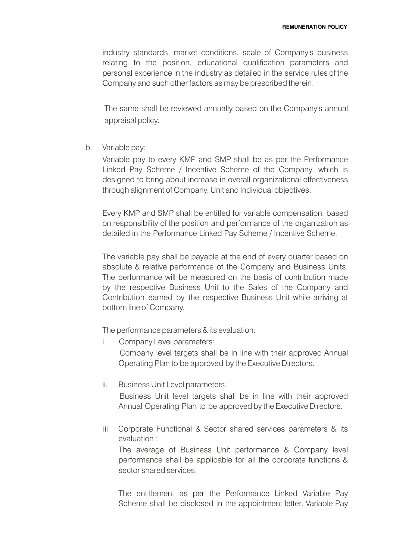industry standards, market conditions, scale of Company's business relating to the position, educational qualification parameters and personal experience in the industry as detailed in the service rules of the Company and such other factors as may be prescribed therein.

The same shall be reviewed annually based on the Company's annual appraisal policy.

b. Variable pay:

Variable pay to every KMP and SMP shall be as per the Performance Linked Pay Scheme / Incentive Scheme of the Company, which is designed to bring about increase in overall organizational effectiveness through alignment of Company, Unit and Individual objectives.

Every KMP and SMP shall be entitled for variable compensation, based on responsibility of the position and performance of the organization as detailed in the Performance Linked Pay Scheme / Incentive Scheme.

The variable pay shall be payable at the end of every quarter based on absolute & relative performance of the Company and Business Units. The performance will be measured on the basis of contribution made by the respective Business Unit to the Sales of the Company and Contribution earned by the respective Business Unit while arriving at bottom line of Company.

The performance parameters & its evaluation:

i. Company Level parameters:

Company level targets shall be in line with their approved Annual Operating Plan to be approved by the Executive Directors.

ii. Business Unit Level parameters:

Business Unit level targets shall be in line with their approved Annual Operating Plan to be approved by the Executive Directors.

iii. Corporate Functional & Sector shared services parameters & its evaluation :

The average of Business Unit performance & Company level performance shall be applicable for all the corporate functions & sector shared services.

The entitlement as per the Performance Linked Variable Pay Scheme shall be disclosed in the appointment letter. Variable Pay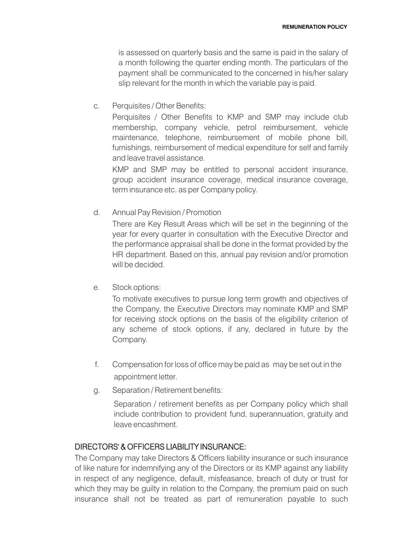is assessed on quarterly basis and the same is paid in the salary of a month following the quarter ending month. The particulars of the payment shall be communicated to the concerned in his/her salary slip relevant for the month in which the variable pay is paid.

#### c. Perquisites / Other Benefits:

Perquisites / Other Benefits to KMP and SMP may include club membership, company vehicle, petrol reimbursement, vehicle maintenance, telephone, reimbursement of mobile phone bill, furnishings, reimbursement of medical expenditure for self and family and leave travel assistance.

KMP and SMP may be entitled to personal accident insurance, group accident insurance coverage, medical insurance coverage, term insurance etc. as per Company policy.

### d. Annual Pay Revision / Promotion

There are Key Result Areas which will be set in the beginning of the year for every quarter in consultation with the Executive Director and the performance appraisal shall be done in the format provided by the HR department. Based on this, annual pay revision and/or promotion will be decided.

# e. Stock options:

To motivate executives to pursue long term growth and objectives of the Company, the Executive Directors may nominate KMP and SMP for receiving stock options on the basis of the eligibility criterion of any scheme of stock options, if any, declared in future by the Company.

- f. Compensation for loss of office may be paid as may be set out in the appointment letter.
- g. Separation / Retirement benefits:

Separation / retirement benefits as per Company policy which shall include contribution to provident fund, superannuation, gratuity and leave encashment.

# DIRECTORS' & OFFICERS LIABILITY INSURANCE:

The Company may take Directors & Officers liability insurance or such insurance of like nature for indemnifying any of the Directors or its KMP against any liability in respect of any negligence, default, misfeasance, breach of duty or trust for which they may be quilty in relation to the Company, the premium paid on such insurance shall not be treated as part of remuneration payable to such